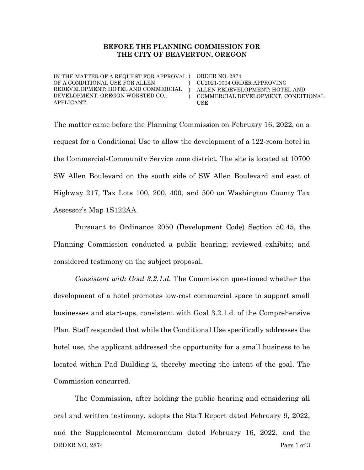#### BEFORE THE PLANNING COMMISSION FOR THE CITY OF BEAVERTON, OREGON

IN THE MATTER OF A REQUEST FOR APPROVAL ) ORDER NO. 2874 OF A CONDITIONAL USE FOR ALLEN REDEVELOPMENT: HOTEL AND COMMERCIAL ) DEVELOPMENT, OREGON WORSTED CO., APPLICANT.

) CU2021-0004 ORDER APPROVING  $\lambda$ ALLEN REDEVELOPMENT: HOTEL AND COMMERCIAL DEVELOPMENT, CONDITIONAL USE

The matter came before the Planning Commission on February 16, 2022, on a request for a Conditional Use to allow the development of a 122-room hotel in the Commercial-Community Service zone district. The site is located at 10700 SW Allen Boulevard on the south side of SW Allen Boulevard and east of Highway 217, Tax Lots 100, 200, 400, and 500 on Washington County Tax Assessor's Map 1S122AA.

Pursuant to Ordinance 2050 (Development Code) Section 50.45, the Planning Commission conducted a public hearing; reviewed exhibits; and considered testimony on the subject proposal.

Consistent with Goal 3.2.1.d. The Commission questioned whether the development of a hotel promotes low-cost commercial space to support small businesses and start-ups, consistent with Goal 3.2.1.d. of the Comprehensive Plan. Staff responded that while the Conditional Use specifically addresses the hotel use, the applicant addressed the opportunity for a small business to be located within Pad Building 2, thereby meeting the intent of the goal. The Commission concurred.

ORDER NO. 2874 Page 1 of 3 The Commission, after holding the public hearing and considering all oral and written testimony, adopts the Staff Report dated February 9, 2022, and the Supplemental Memorandum dated February 16, 2022, and the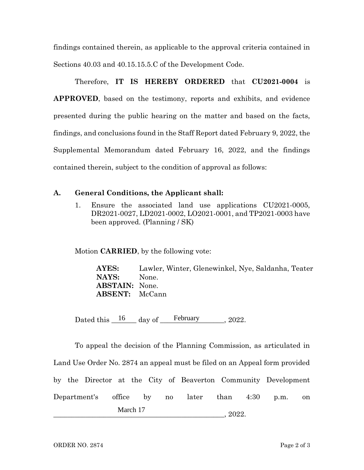findings contained therein, as applicable to the approval criteria contained in Sections 40.03 and 40.15.15.5.C of the Development Code.

Therefore, IT IS HEREBY ORDERED that CU2021-0004 is APPROVED, based on the testimony, reports and exhibits, and evidence presented during the public hearing on the matter and based on the facts, findings, and conclusions found in the Staff Report dated February 9, 2022, the Supplemental Memorandum dated February 16, 2022, and the findings contained therein, subject to the condition of approval as follows:

### A. General Conditions, the Applicant shall:

1. Ensure the associated land use applications CU2021-0005, DR2021-0027, LD2021-0002, LO2021-0001, and TP2021-0003 have been approved. (Planning / SK)

Motion CARRIED, by the following vote:

AYES: Lawler, Winter, Glenewinkel, Nye, Saldanha, Teater NAYS: None. ABSTAIN: None. ABSENT: McCann

Dated this  $\frac{16}{\text{day of}}$  February 2022.

To appeal the decision of the Planning Commission, as articulated in Land Use Order No. 2874 an appeal must be filed on an Appeal form provided by the Director at the City of Beaverton Community Development Department's office by no later than 4:30 p.m. on \_\_\_\_\_\_\_\_\_\_\_\_\_\_\_\_\_\_\_\_\_\_\_\_\_\_\_\_\_\_\_\_\_\_\_\_\_\_\_\_\_\_\_\_\_\_\_\_, 2022. March 17